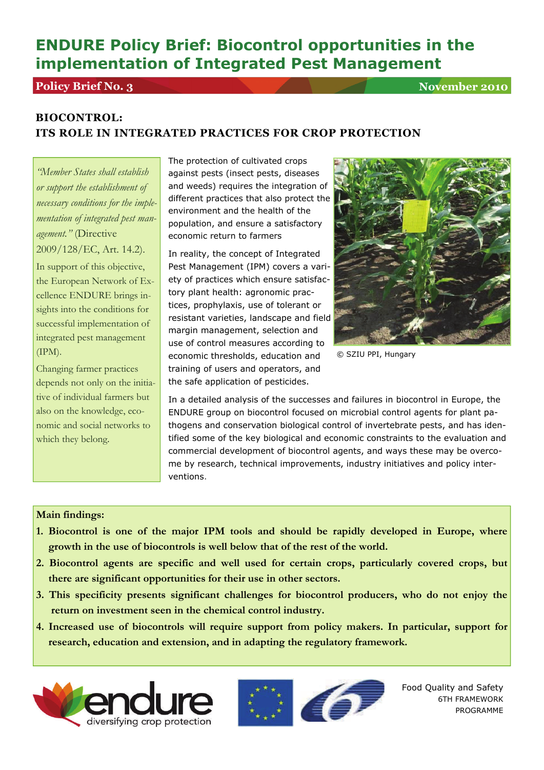# **ENDURE Policy Brief: Biocontrol opportunities in the implementation of Integrated Pest Management**

## **Policy Brief No. 3** November 2010

## **BIOCONTROL: ITS ROLE IN INTEGRATED PRACTICES FOR CROP PROTECTION**

*"Member States shall establish or support the establishment of necessary conditions for the implementation of integrated pest management."* (Directive 2009/128/EC, Art. 14.2).

In support of this objective, the European Network of Excellence ENDURE brings insights into the conditions for successful implementation of integrated pest management (IPM).

Changing farmer practices depends not only on the initiative of individual farmers but also on the knowledge, economic and social networks to which they belong.

The protection of cultivated crops against pests (insect pests, diseases and weeds) requires the integration of different practices that also protect the environment and the health of the population, and ensure a satisfactory economic return to farmers

In reality, the concept of Integrated Pest Management (IPM) covers a variety of practices which ensure satisfactory plant health: agronomic practices, prophylaxis, use of tolerant or resistant varieties, landscape and field margin management, selection and use of control measures according to economic thresholds, education and training of users and operators, and the safe application of pesticides.



© SZIU PPI, Hungary

In a detailed analysis of the successes and failures in biocontrol in Europe, the ENDURE group on biocontrol focused on microbial control agents for plant pathogens and conservation biological control of invertebrate pests, and has identified some of the key biological and economic constraints to the evaluation and commercial development of biocontrol agents, and ways these may be overcome by research, technical improvements, industry initiatives and policy interventions.

### **Main findings:**

- **1. Biocontrol is one of the major IPM tools and should be rapidly developed in Europe, where growth in the use of biocontrols is well below that of the rest of the world.**
- **2. Biocontrol agents are specific and well used for certain crops, particularly covered crops, but there are significant opportunities for their use in other sectors.**
- **3. This specificity presents significant challenges for biocontrol producers, who do not enjoy the return on investment seen in the chemical control industry.**
- **4. Increased use of biocontrols will require support from policy makers. In particular, support for research, education and extension, and in adapting the regulatory framework.**





Food Quality and Safety 6TH FRAMEWORK PROGRAMME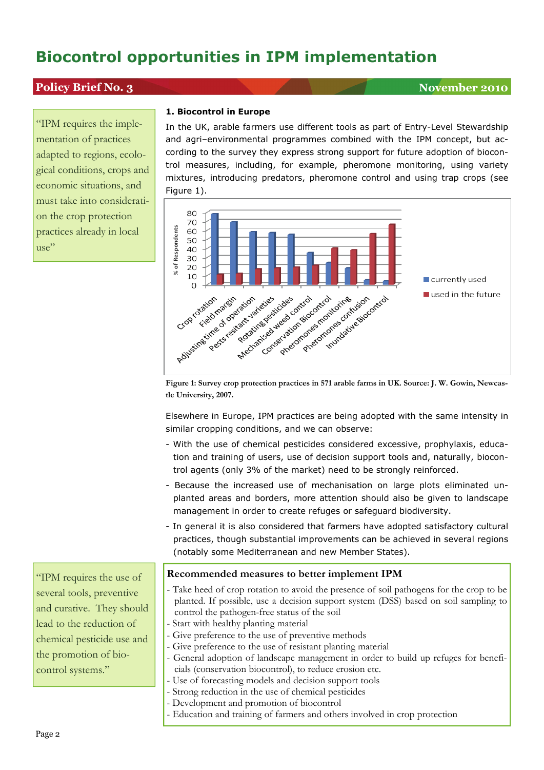## **Policy Brief No. 3** November 2010

"IPM requires the implementation of practices adapted to regions, ecological conditions, crops and economic situations, and must take into consideration the crop protection practices already in local use"

#### **1. Biocontrol in Europe**

In the UK, arable farmers use different tools as part of Entry-Level Stewardship and agri–environmental programmes combined with the IPM concept, but according to the survey they express strong support for future adoption of biocontrol measures, including, for example, pheromone monitoring, using variety mixtures, introducing predators, pheromone control and using trap crops (see Figure 1).



**Figure 1: Survey crop protection practices in 571 arable farms in UK. Source: J. W. Gowin, Newcas-**

Elsewhere in Europe, IPM practices are being adopted with the same intensity in similar cropping conditions, and we can observe:

- With the use of chemical pesticides considered excessive, prophylaxis, education and training of users, use of decision support tools and, naturally, biocontrol agents (only 3% of the market) need to be strongly reinforced.
- Because the increased use of mechanisation on large plots eliminated unplanted areas and borders, more attention should also be given to landscape management in order to create refuges or safeguard biodiversity.
- In general it is also considered that farmers have adopted satisfactory cultural practices, though substantial improvements can be achieved in several regions (notably some Mediterranean and new Member States).

### **Recommended measures to better implement IPM**

- Take heed of crop rotation to avoid the presence of soil pathogens for the crop to be planted. If possible, use a decision support system (DSS) based on soil sampling to control the pathogen-free status of the soil
- Start with healthy planting material
- Give preference to the use of preventive methods
- Give preference to the use of resistant planting material
- General adoption of landscape management in order to build up refuges for beneficials (conservation biocontrol), to reduce erosion etc.
- Use of forecasting models and decision support tools
- Strong reduction in the use of chemical pesticides
- Development and promotion of biocontrol
- Education and training of farmers and others involved in crop protection

"IPM requires the use of several tools, preventive and curative. They should lead to the reduction of chemical pesticide use and the promotion of biocontrol systems."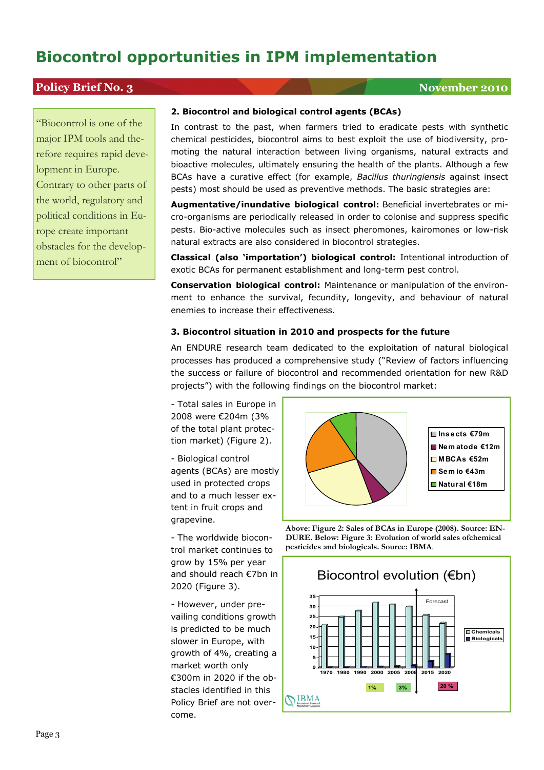## **Policy Brief No. 3** November 2010

"Biocontrol is one of the major IPM tools and therefore requires rapid development in Europe. Contrary to other parts of the world, regulatory and political conditions in Europe create important obstacles for the development of biocontrol"

### **2. Biocontrol and biological control agents (BCAs)**

In contrast to the past, when farmers tried to eradicate pests with synthetic chemical pesticides, biocontrol aims to best exploit the use of biodiversity, promoting the natural interaction between living organisms, natural extracts and bioactive molecules, ultimately ensuring the health of the plants. Although a few BCAs have a curative effect (for example, *Bacillus thuringiensis* against insect pests) most should be used as preventive methods. The basic strategies are:

**Augmentative/inundative biological control:** Beneficial invertebrates or micro-organisms are periodically released in order to colonise and suppress specific pests. Bio-active molecules such as insect pheromones, kairomones or low-risk natural extracts are also considered in biocontrol strategies.

**Classical (also 'importation') biological control:** Intentional introduction of exotic BCAs for permanent establishment and long-term pest control.

**Conservation biological control:** Maintenance or manipulation of the environment to enhance the survival, fecundity, longevity, and behaviour of natural enemies to increase their effectiveness.

#### **3. Biocontrol situation in 2010 and prospects for the future**

An ENDURE research team dedicated to the exploitation of natural biological processes has produced a comprehensive study ("Review of factors influencing the success or failure of biocontrol and recommended orientation for new R&D projects") with the following findings on the biocontrol market:

- Total sales in Europe in 2008 were €204m (3% of the total plant protection market) (Figure 2).

- Biological control agents (BCAs) are mostly used in protected crops and to a much lesser extent in fruit crops and grapevine.

- The worldwide biocontrol market continues to grow by 15% per year and should reach €7bn in 2020 (Figure 3).

- However, under prevailing conditions growth is predicted to be much slower in Europe, with growth of 4%, creating a market worth only €300m in 2020 if the obstacles identified in this Policy Brief are not overcome.



**Above: Figure 2: Sales of BCAs in Europe (2008). Source: EN-DURE. Below: Figure 3: Evolution of world sales ofchemical pesticides and biologicals. Source: IBMA**.

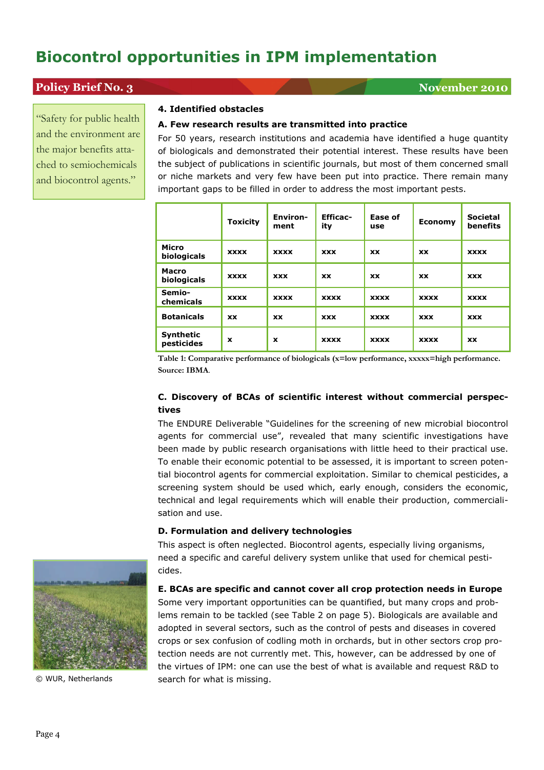## **Policy Brief No. 3** November 2010

"Safety for public health and the environment are the major benefits attached to semiochemicals and biocontrol agents."

#### **4. Identified obstacles**

#### **A. Few research results are transmitted into practice**

For 50 years, research institutions and academia have identified a huge quantity of biologicals and demonstrated their potential interest. These results have been the subject of publications in scientific journals, but most of them concerned small or niche markets and very few have been put into practice. There remain many important gaps to be filled in order to address the most important pests.

|                             | <b>Toxicity</b> | <b>Environ-</b><br>ment | <b>Efficac-</b><br>ity | Ease of<br>use | <b>Economy</b> | <b>Societal</b><br>benefits |
|-----------------------------|-----------------|-------------------------|------------------------|----------------|----------------|-----------------------------|
| Micro<br>biologicals        | <b>XXXX</b>     | <b>XXXX</b>             | <b>XXX</b>             | <b>XX</b>      | <b>XX</b>      | <b>XXXX</b>                 |
| <b>Macro</b><br>biologicals | <b>XXXX</b>     | <b>XXX</b>              | <b>XX</b>              | <b>XX</b>      | <b>XX</b>      | <b>XXX</b>                  |
| Semio-<br>chemicals         | <b>XXXX</b>     | <b>XXXX</b>             | <b>XXXX</b>            | <b>XXXX</b>    | <b>XXXX</b>    | <b>XXXX</b>                 |
| <b>Botanicals</b>           | <b>XX</b>       | <b>XX</b>               | <b>XXX</b>             | <b>XXXX</b>    | <b>XXX</b>     | <b>XXX</b>                  |
| Synthetic<br>pesticides     | x               | x                       | <b>XXXX</b>            | <b>XXXX</b>    | <b>XXXX</b>    | <b>XX</b>                   |

**Table 1: Comparative performance of biologicals (x=low performance, xxxxx=high performance. Source: IBMA**.

### **C. Discovery of BCAs of scientific interest without commercial perspectives**

The ENDURE Deliverable "Guidelines for the screening of new microbial biocontrol agents for commercial use", revealed that many scientific investigations have been made by public research organisations with little heed to their practical use. To enable their economic potential to be assessed, it is important to screen potential biocontrol agents for commercial exploitation. Similar to chemical pesticides, a screening system should be used which, early enough, considers the economic, technical and legal requirements which will enable their production, commercialisation and use.

#### **D. Formulation and delivery technologies**

This aspect is often neglected. Biocontrol agents, especially living organisms, need a specific and careful delivery system unlike that used for chemical pesticides.

#### **E. BCAs are specific and cannot cover all crop protection needs in Europe**

Some very important opportunities can be quantified, but many crops and problems remain to be tackled (see Table 2 on page 5). Biologicals are available and adopted in several sectors, such as the control of pests and diseases in covered crops or sex confusion of codling moth in orchards, but in other sectors crop protection needs are not currently met. This, however, can be addressed by one of the virtues of IPM: one can use the best of what is available and request R&D to © WUR, Netherlands search for what is missing.

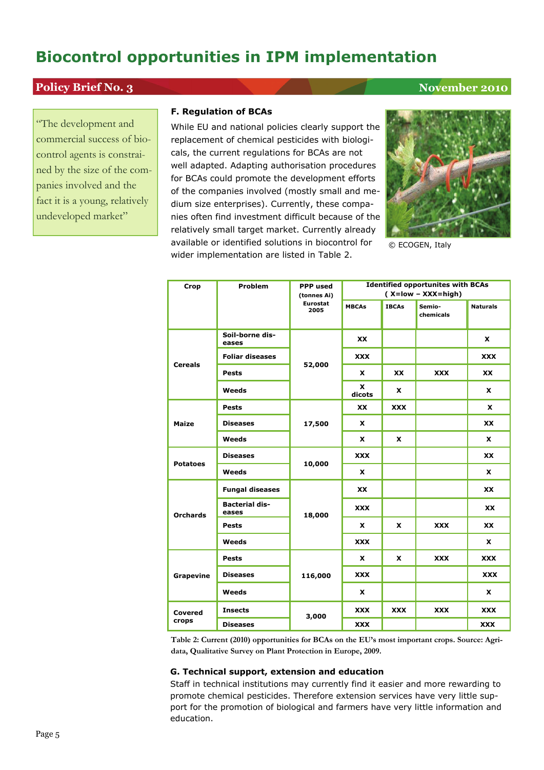## **Policy Brief No. 3** November 2010

"The development and commercial success of biocontrol agents is constrained by the size of the companies involved and the fact it is a young, relatively undeveloped market"

#### **F. Regulation of BCAs**

While EU and national policies clearly support the replacement of chemical pesticides with biologicals, the current regulations for BCAs are not well adapted. Adapting authorisation procedures for BCAs could promote the development efforts of the companies involved (mostly small and medium size enterprises). Currently, these companies often find investment difficult because of the relatively small target market. Currently already available or identified solutions in biocontrol for wider implementation are listed in Table 2.



© ECOGEN, Italy

| Crop             | <b>Problem</b>                 | <b>PPP</b> used         | <b>Identified opportunites with BCAs</b> |              |                     |                 |
|------------------|--------------------------------|-------------------------|------------------------------------------|--------------|---------------------|-----------------|
|                  |                                | (tonnes Ai)             | $(X = low - XXX = high)$                 |              |                     |                 |
|                  |                                | <b>Eurostat</b><br>2005 | <b>MBCAs</b>                             | <b>IBCAs</b> | Semio-<br>chemicals | <b>Naturals</b> |
| <b>Cereals</b>   | Soil-borne dis-<br>eases       |                         | XX                                       |              |                     | X               |
|                  | <b>Foliar diseases</b>         | 52,000                  | <b>XXX</b>                               |              |                     | XXX             |
|                  | <b>Pests</b>                   |                         | <b>X</b>                                 | <b>XX</b>    | <b>XXX</b>          | <b>XX</b>       |
|                  | Weeds                          |                         | X<br>dicots                              | X            |                     | X               |
| <b>Maize</b>     | Pests                          |                         | <b>XX</b>                                | <b>XXX</b>   |                     | <b>X</b>        |
|                  | <b>Diseases</b>                | 17,500                  | <b>X</b>                                 |              |                     | <b>XX</b>       |
|                  | Weeds                          |                         | <b>X</b>                                 | X            |                     | X               |
| <b>Potatoes</b>  | <b>Diseases</b>                |                         | <b>XXX</b>                               |              |                     | <b>XX</b>       |
|                  | Weeds                          | 10,000                  | X                                        |              |                     | X               |
| <b>Orchards</b>  | <b>Fungal diseases</b>         |                         | XX                                       |              |                     | <b>XX</b>       |
|                  | <b>Bacterial dis-</b><br>eases | 18,000                  | <b>XXX</b>                               |              |                     | XX              |
|                  | Pests                          |                         | x                                        | x            | <b>XXX</b>          | <b>XX</b>       |
|                  | Weeds                          |                         | <b>XXX</b>                               |              |                     | X               |
| <b>Grapevine</b> | <b>Pests</b>                   |                         | <b>X</b>                                 | <b>X</b>     | <b>XXX</b>          | <b>XXX</b>      |
|                  | <b>Diseases</b>                | 116,000                 | XXX                                      |              |                     | <b>XXX</b>      |
|                  | Weeds                          |                         | <b>X</b>                                 |              |                     | x               |
| Covered<br>crops | <b>Insects</b>                 | 3,000                   | XXX                                      | <b>XXX</b>   | <b>XXX</b>          | XXX             |
|                  | <b>Diseases</b>                |                         | XXX                                      |              |                     | XXX             |

**Table 2: Current (2010) opportunities for BCAs on the EU's most important crops. Source: Agridata, Qualitative Survey on Plant Protection in Europe, 2009.** 

#### **G. Technical support, extension and education**

Staff in technical institutions may currently find it easier and more rewarding to promote chemical pesticides. Therefore extension services have very little support for the promotion of biological and farmers have very little information and education.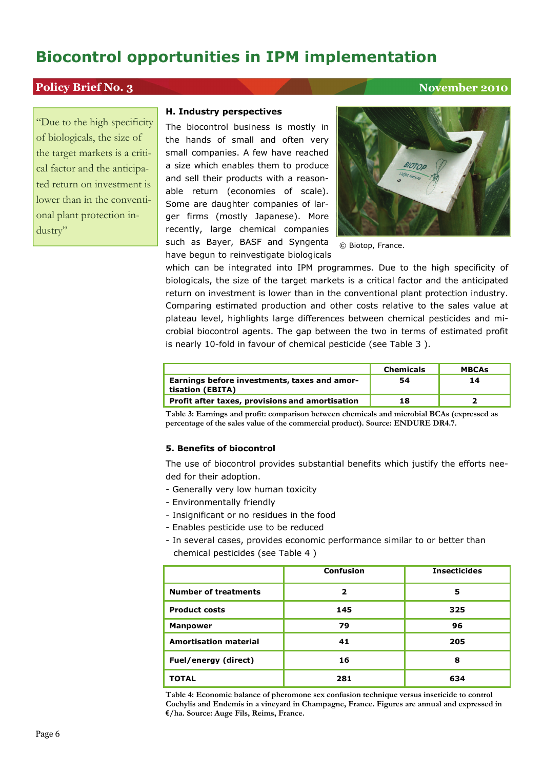## **Policy Brief No. 3** November 2010

"Due to the high specificity of biologicals, the size of the target markets is a critical factor and the anticipated return on investment is lower than in the conventional plant protection industry"

#### **H. Industry perspectives**

The biocontrol business is mostly in the hands of small and often very small companies. A few have reached a size which enables them to produce and sell their products with a reasonable return (economies of scale). Some are daughter companies of larger firms (mostly Japanese). More recently, large chemical companies such as Bayer, BASF and Syngenta have begun to reinvestigate biologicals



© Biotop, France.

which can be integrated into IPM programmes. Due to the high specificity of biologicals, the size of the target markets is a critical factor and the anticipated return on investment is lower than in the conventional plant protection industry. Comparing estimated production and other costs relative to the sales value at plateau level, highlights large differences between chemical pesticides and microbial biocontrol agents. The gap between the two in terms of estimated profit is nearly 10-fold in favour of chemical pesticide (see Table 3 ).

|                                                                  | <b>Chemicals</b> | <b>MBCAs</b> |
|------------------------------------------------------------------|------------------|--------------|
| Earnings before investments, taxes and amor-<br>tisation (EBITA) | 54               | 14           |
| Profit after taxes, provisions and amortisation                  | 18               |              |

**Table 3: Earnings and profit: comparison between chemicals and microbial BCAs (expressed as percentage of the sales value of the commercial product). Source: ENDURE DR4.7.**

#### **5. Benefits of biocontrol**

The use of biocontrol provides substantial benefits which justify the efforts needed for their adoption.

- Generally very low human toxicity
- Environmentally friendly
- Insignificant or no residues in the food
- Enables pesticide use to be reduced
- In several cases, provides economic performance similar to or better than chemical pesticides (see Table 4 )

|                              | <b>Confusion</b> | <b>Insecticides</b> |
|------------------------------|------------------|---------------------|
| <b>Number of treatments</b>  | 2                | 5                   |
| <b>Product costs</b>         | 145              | 325                 |
| <b>Manpower</b>              | 79               | 96                  |
| <b>Amortisation material</b> | 41               | 205                 |
| Fuel/energy (direct)         | 16               | 8                   |
| <b>TOTAL</b>                 | 281              | 634                 |

**Table 4: Economic balance of pheromone sex confusion technique versus inseticide to control Cochylis and Endemis in a vineyard in Champagne, France. Figures are annual and expressed in €/ha. Source: Auge Fils, Reims, France.**